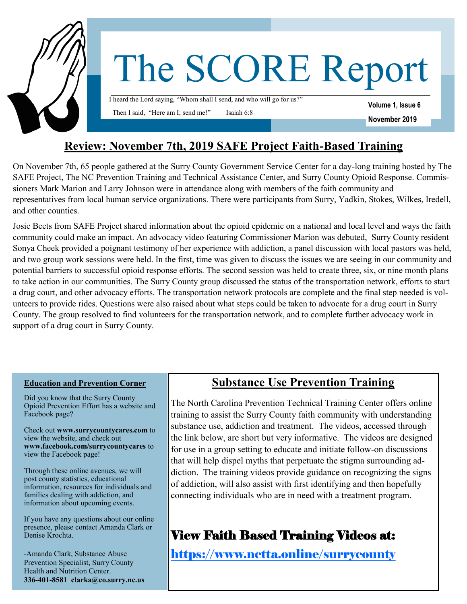

## **Review: November 7th, 2019 SAFE Project Faith-Based Training**

On November 7th, 65 people gathered at the Surry County Government Service Center for a day-long training hosted by The SAFE Project, The NC Prevention Training and Technical Assistance Center, and Surry County Opioid Response. Commissioners Mark Marion and Larry Johnson were in attendance along with members of the faith community and representatives from local human service organizations. There were participants from Surry, Yadkin, Stokes, Wilkes, Iredell, and other counties.

Josie Beets from SAFE Project shared information about the opioid epidemic on a national and local level and ways the faith community could make an impact. An advocacy video featuring Commissioner Marion was debuted, Surry County resident Sonya Cheek provided a poignant testimony of her experience with addiction, a panel discussion with local pastors was held, and two group work sessions were held. In the first, time was given to discuss the issues we are seeing in our community and potential barriers to successful opioid response efforts. The second session was held to create three, six, or nine month plans to take action in our communities. The Surry County group discussed the status of the transportation network, efforts to start a drug court, and other advocacy efforts. The transportation network protocols are complete and the final step needed is volunteers to provide rides. Questions were also raised about what steps could be taken to advocate for a drug court in Surry County. The group resolved to find volunteers for the transportation network, and to complete further advocacy work in support of a drug court in Surry County.

#### **Education and Prevention Corner**

Did you know that the Surry County Opioid Prevention Effort has a website and Facebook page?

Check out **www.surrycountycares.com** to view the website, and check out **www.facebook.com/surrycountycares** to view the Facebook page!

Through these online avenues, we will post county statistics, educational information, resources for individuals and families dealing with addiction, and information about upcoming events.

If you have any questions about our online presence, please contact Amanda Clark or Denise Krochta.

-Amanda Clark, Substance Abuse Prevention Specialist, Surry County Health and Nutrition Center. **336-401-8581 clarka@co.surry.nc.us** 

## **Substance Use Prevention Training**

The North Carolina Prevention Technical Training Center offers online training to assist the Surry County faith community with understanding substance use, addiction and treatment. The videos, accessed through the link below, are short but very informative. The videos are designed for use in a group setting to educate and initiate follow-on discussions that will help dispel myths that perpetuate the stigma surrounding addiction. The training videos provide guidance on recognizing the signs of addiction, will also assist with first identifying and then hopefully connecting individuals who are in need with a treatment program.

# View Faith Based Training Videos at:

[https://www.nctta.online/surrycounty](https://linkprotect.cudasvc.com/url?a=https%3a%2f%2fwww.nctta.online%2fsurrycounty&c=E,1,15OSCmgrQJWKQSZSWpbkJPxxzUHXMa5VoF0AAUr4C7zadPQw13TwBVWU5-rb4TSWCv22LofsACsJ7OAALkCEesM_W-OSCRBGS13aoGKV1k2vnFM,&typo=0)